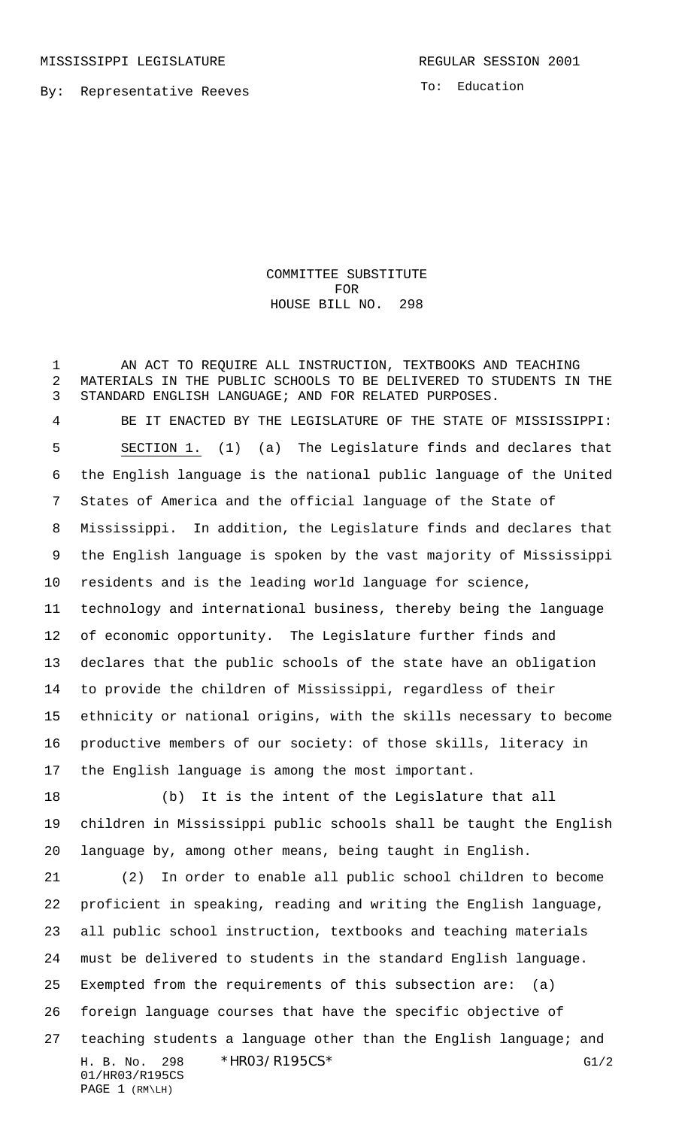By: Representative Reeves

To: Education

COMMITTEE SUBSTITUTE FOR HOUSE BILL NO. 298

 AN ACT TO REQUIRE ALL INSTRUCTION, TEXTBOOKS AND TEACHING MATERIALS IN THE PUBLIC SCHOOLS TO BE DELIVERED TO STUDENTS IN THE STANDARD ENGLISH LANGUAGE; AND FOR RELATED PURPOSES.

 BE IT ENACTED BY THE LEGISLATURE OF THE STATE OF MISSISSIPPI: SECTION 1. (1) (a) The Legislature finds and declares that the English language is the national public language of the United States of America and the official language of the State of Mississippi. In addition, the Legislature finds and declares that the English language is spoken by the vast majority of Mississippi residents and is the leading world language for science, technology and international business, thereby being the language of economic opportunity. The Legislature further finds and declares that the public schools of the state have an obligation to provide the children of Mississippi, regardless of their ethnicity or national origins, with the skills necessary to become productive members of our society: of those skills, literacy in the English language is among the most important.

 (b) It is the intent of the Legislature that all children in Mississippi public schools shall be taught the English language by, among other means, being taught in English.

H. B. No. 298 \* HRO3/R195CS\* G1/2 01/HR03/R195CS PAGE 1 (RM\LH) (2) In order to enable all public school children to become proficient in speaking, reading and writing the English language, all public school instruction, textbooks and teaching materials must be delivered to students in the standard English language. Exempted from the requirements of this subsection are: (a) foreign language courses that have the specific objective of teaching students a language other than the English language; and